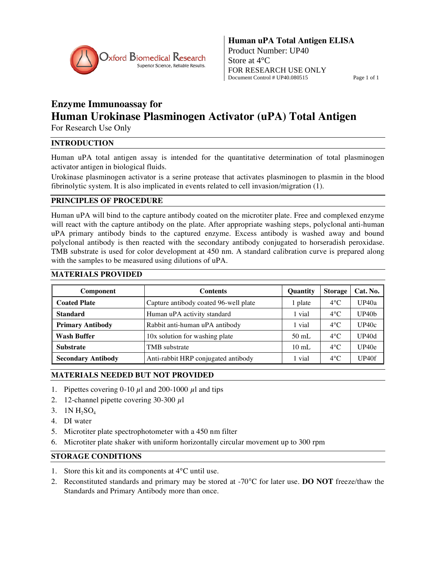

# **Enzyme Immunoassay for Human Urokinase Plasminogen Activator (uPA) Total Antigen**

For Research Use Only

# **INTRODUCTION**

Human uPA total antigen assay is intended for the quantitative determination of total plasminogen activator antigen in biological fluids.

Urokinase plasminogen activator is a serine protease that activates plasminogen to plasmin in the blood fibrinolytic system. It is also implicated in events related to cell invasion/migration (1).

# **PRINCIPLES OF PROCEDURE**

Human uPA will bind to the capture antibody coated on the microtiter plate. Free and complexed enzyme will react with the capture antibody on the plate. After appropriate washing steps, polyclonal anti-human uPA primary antibody binds to the captured enzyme. Excess antibody is washed away and bound polyclonal antibody is then reacted with the secondary antibody conjugated to horseradish peroxidase. TMB substrate is used for color development at 450 nm. A standard calibration curve is prepared along with the samples to be measured using dilutions of uPA.

# **MATERIALS PROVIDED**

| Component                 | <b>Contents</b>                       | <b>Quantity</b> | Storage       | Cat. No.          |
|---------------------------|---------------------------------------|-----------------|---------------|-------------------|
| <b>Coated Plate</b>       | Capture antibody coated 96-well plate | 1 plate         | $4^{\circ}$ C | UP40a             |
| <b>Standard</b>           | Human uPA activity standard           | 1 vial          | $4^{\circ}$ C | UP40 <sub>b</sub> |
| <b>Primary Antibody</b>   | Rabbit anti-human uPA antibody        | 1 vial          | $4^{\circ}$ C | UP40c             |
| <b>Wash Buffer</b>        | 10x solution for washing plate        | $50 \text{ mL}$ | $4^{\circ}$ C | UP40d             |
| <b>Substrate</b>          | TMB substrate                         | $10 \text{ mL}$ | $4^{\circ}$ C | UP40e             |
| <b>Secondary Antibody</b> | Anti-rabbit HRP conjugated antibody   | 1 vial          | $4^{\circ}$ C | UP40f             |

# **MATERIALS NEEDED BUT NOT PROVIDED**

- 1. Pipettes covering 0-10  $\mu$ l and 200-1000  $\mu$ l and tips
- 2. 12-channel pipette covering 30-300 μl
- 3.  $1N H_2SO_4$
- 4. DI water
- 5. Microtiter plate spectrophotometer with a 450 nm filter
- 6. Microtiter plate shaker with uniform horizontally circular movement up to 300 rpm

# **STORAGE CONDITIONS**

- 1. Store this kit and its components at 4°C until use.
- 2. Reconstituted standards and primary may be stored at -70°C for later use. **DO NOT** freeze/thaw the Standards and Primary Antibody more than once.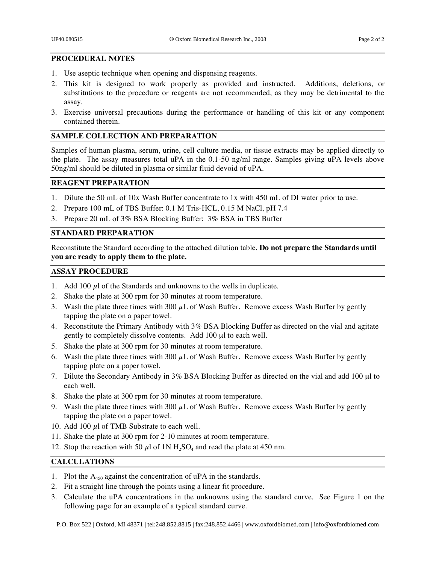## **PROCEDURAL NOTES**

- 1. Use aseptic technique when opening and dispensing reagents.
- 2. This kit is designed to work properly as provided and instructed. Additions, deletions, or substitutions to the procedure or reagents are not recommended, as they may be detrimental to the assay.
- 3. Exercise universal precautions during the performance or handling of this kit or any component contained therein.

# **SAMPLE COLLECTION AND PREPARATION**

Samples of human plasma, serum, urine, cell culture media, or tissue extracts may be applied directly to the plate. The assay measures total uPA in the 0.1-50 ng/ml range. Samples giving uPA levels above 50ng/ml should be diluted in plasma or similar fluid devoid of uPA.

#### **REAGENT PREPARATION**

- 1. Dilute the 50 mL of 10x Wash Buffer concentrate to 1x with 450 mL of DI water prior to use.
- 2. Prepare 100 mL of TBS Buffer: 0.1 M Tris-HCL, 0.15 M NaCl, pH 7.4
- 3. Prepare 20 mL of 3% BSA Blocking Buffer: 3% BSA in TBS Buffer

# **STANDARD PREPARATION**

Reconstitute the Standard according to the attached dilution table. **Do not prepare the Standards until you are ready to apply them to the plate.**

#### **ASSAY PROCEDURE**

- 1. Add 100  $\mu$ l of the Standards and unknowns to the wells in duplicate.
- 2. Shake the plate at 300 rpm for 30 minutes at room temperature.
- 3. Wash the plate three times with 300  $\mu$ L of Wash Buffer. Remove excess Wash Buffer by gently tapping the plate on a paper towel.
- 4. Reconstitute the Primary Antibody with 3% BSA Blocking Buffer as directed on the vial and agitate gently to completely dissolve contents. Add 100 μl to each well.
- 5. Shake the plate at 300 rpm for 30 minutes at room temperature.
- 6. Wash the plate three times with 300  $\mu$ L of Wash Buffer. Remove excess Wash Buffer by gently tapping plate on a paper towel.
- 7. Dilute the Secondary Antibody in 3% BSA Blocking Buffer as directed on the vial and add 100 μl to each well.
- 8. Shake the plate at 300 rpm for 30 minutes at room temperature.
- 9. Wash the plate three times with 300  $\mu$ L of Wash Buffer. Remove excess Wash Buffer by gently tapping the plate on a paper towel.
- 10. Add 100  $\mu$ l of TMB Substrate to each well.
- 11. Shake the plate at 300 rpm for 2-10 minutes at room temperature.
- 12. Stop the reaction with 50  $\mu$ l of 1N H<sub>2</sub>SO<sub>4</sub> and read the plate at 450 nm.

## **CALCULATIONS**

- 1. Plot the  $A_{450}$  against the concentration of uPA in the standards.
- 2. Fit a straight line through the points using a linear fit procedure.
- 3. Calculate the uPA concentrations in the unknowns using the standard curve. See Figure 1 on the following page for an example of a typical standard curve.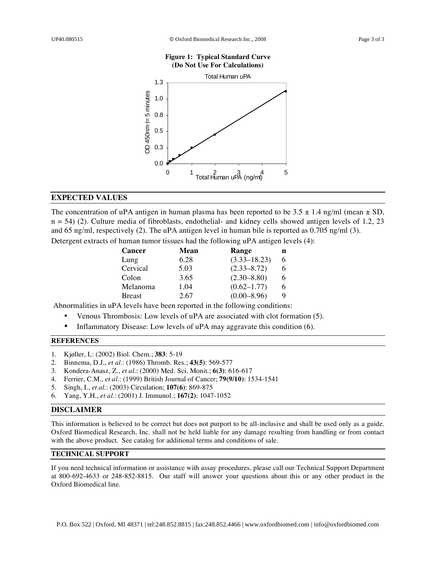#### **Figure 1: Typical Standard Curve (Do Not Use For Calculations)**



#### **EXPECTED VALUES**

The concentration of uPA antigen in human plasma has been reported to be  $3.5 \pm 1.4$  ng/ml (mean  $\pm$  SD,  $n = 54$ ) (2). Culture media of fibroblasts, endothelial- and kidney cells showed antigen levels of 1.2, 23 and 65 ng/ml, respectively (2). The uPA antigen level in human bile is reported as 0.705 ng/ml (3).

Detergent extracts of human tumor tissues had the following uPA antigen levels (4):

| <b>Cancer</b> | Mean | Range            | n |
|---------------|------|------------------|---|
| Lung          | 6.28 | $(3.33 - 18.23)$ | 6 |
| Cervical      | 5.03 | $(2.33 - 8.72)$  | 6 |
| Colon         | 3.65 | $(2.30 - 8.80)$  | 6 |
| Melanoma      | 1.04 | $(0.62 - 1.77)$  | 6 |
| <b>Breast</b> | 2.67 | $(0.00 - 8.96)$  | 9 |

Abnormalities in uPA levels have been reported in the following conditions:

- Venous Thrombosis: Low levels of uPA are associated with clot formation (5).
- Inflammatory Disease: Low levels of uPA may aggravate this condition (6).

#### **REFERENCES**

- 1. Kjøller, L: (2002) Biol. Chem.; **383**: 5-19
- 2. Binnema, D.J., *et al.*: (1986) Thromb. Res.; **43(5)**: 569-577
- 3. Kondera-Anasz, Z., *et al.*: (2000) Med. Sci. Monit.; **6(3)**: 616-617
- 4. Ferrier, C.M., *et al.*: (1999) British Journal of Cancer; **79(9/10)**: 1534-1541
- 5. Singh, I., *et al.*: (2003) Circulation; **107(6)**: 869-875
- 6. Yang, Y.H., *et al*.: (2001) J. Immunol.; **167(2)**: 1047-1052

#### **DISCLAIMER**

This information is believed to be correct but does not purport to be all-inclusive and shall be used only as a guide. Oxford Biomedical Research, Inc. shall not be held liable for any damage resulting from handling or from contact with the above product. See catalog for additional terms and conditions of sale.

#### **TECHNICAL SUPPORT**

If you need technical information or assistance with assay procedures, please call our Technical Support Department at 800-692-4633 or 248-852-8815. Our staff will answer your questions about this or any other product in the Oxford Biomedical line.